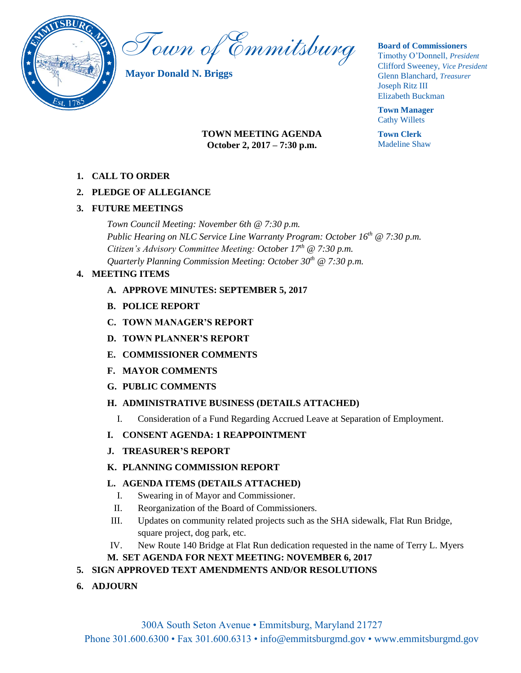

Town of Emmitsburg

**Mayor Donald N. Briggs**

## **Board of Commissioners**

Timothy O'Donnell, *President*  Clifford Sweeney, *Vice President*  Glenn Blanchard, *Treasurer*  Joseph Ritz III Elizabeth Buckman

**Town Manager** Cathy Willets

**Town Clerk** Madeline Shaw

## **TOWN MEETING AGENDA October 2, 2017 – 7:30 p.m.**

**1. CALL TO ORDER**

# **2. PLEDGE OF ALLEGIANCE**

# **3. FUTURE MEETINGS**

*Town Council Meeting: November 6th @ 7:30 p.m. Public Hearing on NLC Service Line Warranty Program: October 16th @ 7:30 p.m. Citizen's Advisory Committee Meeting: October 17th @ 7:30 p.m. Quarterly Planning Commission Meeting: October 30th @ 7:30 p.m.* 

# **4. MEETING ITEMS**

- **A. APPROVE MINUTES: SEPTEMBER 5, 2017**
- **B. POLICE REPORT**
- **C. TOWN MANAGER'S REPORT**
- **D. TOWN PLANNER'S REPORT**
- **E. COMMISSIONER COMMENTS**
- **F. MAYOR COMMENTS**
- **G. PUBLIC COMMENTS**

# **H. ADMINISTRATIVE BUSINESS (DETAILS ATTACHED)**

- I. Consideration of a Fund Regarding Accrued Leave at Separation of Employment.
- **I. CONSENT AGENDA: 1 REAPPOINTMENT**
- **J. TREASURER'S REPORT**
- **K. PLANNING COMMISSION REPORT**

# **L. AGENDA ITEMS (DETAILS ATTACHED)**

- I. Swearing in of Mayor and Commissioner.
- II. Reorganization of the Board of Commissioners.
- III. Updates on community related projects such as the SHA sidewalk, Flat Run Bridge, square project, dog park, etc.
- IV. New Route 140 Bridge at Flat Run dedication requested in the name of Terry L. Myers

# **M. SET AGENDA FOR NEXT MEETING: NOVEMBER 6, 2017**

# **5. SIGN APPROVED TEXT AMENDMENTS AND/OR RESOLUTIONS**

**6. ADJOURN**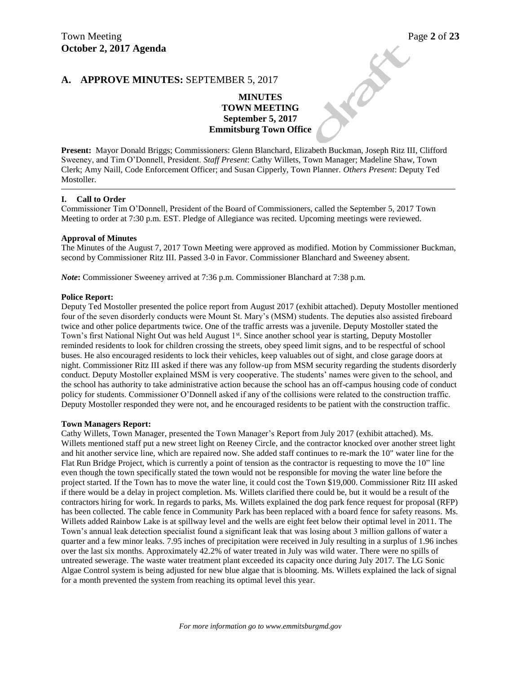## **A. APPROVE MINUTES:** SEPTEMBER 5, 2017

# Town Meeting<br>October 2, 2017 Agenda<br>A. APPROVE MINUTES: SEPTEMBER 5, 2017 **MINUTES TOWN MEETING September 5, 2017 Emmitsburg Town Office**

**Present:** Mayor Donald Briggs; Commissioners: Glenn Blanchard, Elizabeth Buckman, Joseph Ritz III, Clifford Sweeney, and Tim O'Donnell, President. *Staff Present*: Cathy Willets, Town Manager; Madeline Shaw, Town Clerk; Amy Naill, Code Enforcement Officer; and Susan Cipperly, Town Planner. *Others Present*: Deputy Ted Mostoller.

#### **I. Call to Order**

Commissioner Tim O'Donnell, President of the Board of Commissioners, called the September 5, 2017 Town Meeting to order at 7:30 p.m. EST. Pledge of Allegiance was recited. Upcoming meetings were reviewed.

#### **Approval of Minutes**

The Minutes of the August 7, 2017 Town Meeting were approved as modified. Motion by Commissioner Buckman, second by Commissioner Ritz III. Passed 3-0 in Favor. Commissioner Blanchard and Sweeney absent.

*Note*: Commissioner Sweeney arrived at 7:36 p.m. Commissioner Blanchard at 7:38 p.m.

#### **Police Report:**

Deputy Ted Mostoller presented the police report from August 2017 (exhibit attached). Deputy Mostoller mentioned four of the seven disorderly conducts were Mount St. Mary's (MSM) students. The deputies also assisted fireboard twice and other police departments twice. One of the traffic arrests was a juvenile. Deputy Mostoller stated the Town's first National Night Out was held August 1<sup>st</sup>. Since another school year is starting, Deputy Mostoller reminded residents to look for children crossing the streets, obey speed limit signs, and to be respectful of school buses. He also encouraged residents to lock their vehicles, keep valuables out of sight, and close garage doors at night. Commissioner Ritz III asked if there was any follow-up from MSM security regarding the students disorderly conduct. Deputy Mostoller explained MSM is very cooperative. The students' names were given to the school, and the school has authority to take administrative action because the school has an off-campus housing code of conduct policy for students. Commissioner O'Donnell asked if any of the collisions were related to the construction traffic. Deputy Mostoller responded they were not, and he encouraged residents to be patient with the construction traffic.

#### **Town Managers Report:**

Cathy Willets, Town Manager, presented the Town Manager's Report from July 2017 (exhibit attached). Ms. Willets mentioned staff put a new street light on Reeney Circle, and the contractor knocked over another street light and hit another service line, which are repaired now. She added staff continues to re-mark the 10" water line for the Flat Run Bridge Project, which is currently a point of tension as the contractor is requesting to move the 10" line even though the town specifically stated the town would not be responsible for moving the water line before the project started. If the Town has to move the water line, it could cost the Town \$19,000. Commissioner Ritz III asked if there would be a delay in project completion. Ms. Willets clarified there could be, but it would be a result of the contractors hiring for work. In regards to parks, Ms. Willets explained the dog park fence request for proposal (RFP) has been collected. The cable fence in Community Park has been replaced with a board fence for safety reasons. Ms. Willets added Rainbow Lake is at spillway level and the wells are eight feet below their optimal level in 2011. The Town's annual leak detection specialist found a significant leak that was losing about 3 million gallons of water a quarter and a few minor leaks. 7.95 inches of precipitation were received in July resulting in a surplus of 1.96 inches over the last six months. Approximately 42.2% of water treated in July was wild water. There were no spills of untreated sewerage. The waste water treatment plant exceeded its capacity once during July 2017. The LG Sonic Algae Control system is being adjusted for new blue algae that is blooming. Ms. Willets explained the lack of signal for a month prevented the system from reaching its optimal level this year.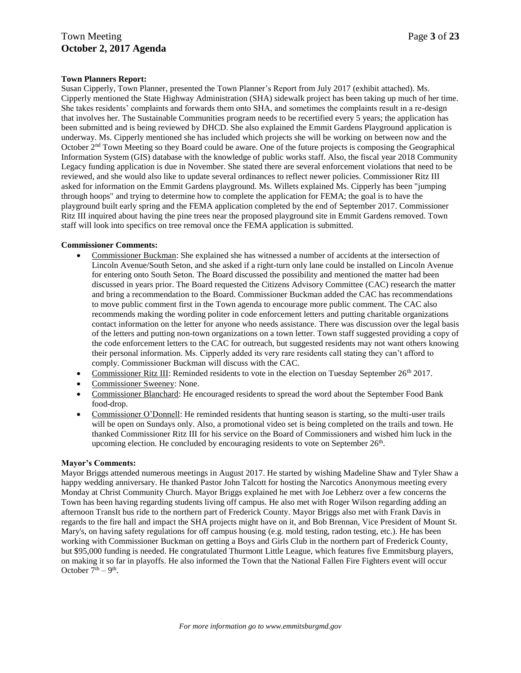## **Town Planners Report:**

Susan Cipperly, Town Planner, presented the Town Planner's Report from July 2017 (exhibit attached). Ms. Cipperly mentioned the State Highway Administration (SHA) sidewalk project has been taking up much of her time. She takes residents' complaints and forwards them onto SHA, and sometimes the complaints result in a re-design that involves her. The Sustainable Communities program needs to be recertified every 5 years; the application has been submitted and is being reviewed by DHCD. She also explained the Emmit Gardens Playground application is underway. Ms. Cipperly mentioned she has included which projects she will be working on between now and the October 2nd Town Meeting so they Board could be aware. One of the future projects is composing the Geographical Information System (GIS) database with the knowledge of public works staff. Also, the fiscal year 2018 Community Legacy funding application is due in November. She stated there are several enforcement violations that need to be reviewed, and she would also like to update several ordinances to reflect newer policies. Commissioner Ritz III asked for information on the Emmit Gardens playground. Ms. Willets explained Ms. Cipperly has been "jumping through hoops" and trying to determine how to complete the application for FEMA; the goal is to have the playground built early spring and the FEMA application completed by the end of September 2017. Commissioner Ritz III inquired about having the pine trees near the proposed playground site in Emmit Gardens removed. Town staff will look into specifics on tree removal once the FEMA application is submitted.

#### **Commissioner Comments:**

- Commissioner Buckman: She explained she has witnessed a number of accidents at the intersection of Lincoln Avenue/South Seton, and she asked if a right-turn only lane could be installed on Lincoln Avenue for entering onto South Seton. The Board discussed the possibility and mentioned the matter had been discussed in years prior. The Board requested the Citizens Advisory Committee (CAC) research the matter and bring a recommendation to the Board. Commissioner Buckman added the CAC has recommendations to move public comment first in the Town agenda to encourage more public comment. The CAC also recommends making the wording politer in code enforcement letters and putting charitable organizations contact information on the letter for anyone who needs assistance. There was discussion over the legal basis of the letters and putting non-town organizations on a town letter. Town staff suggested providing a copy of the code enforcement letters to the CAC for outreach, but suggested residents may not want others knowing their personal information. Ms. Cipperly added its very rare residents call stating they can't afford to comply. Commissioner Buckman will discuss with the CAC.
- Commissioner Ritz III: Reminded residents to vote in the election on Tuesday September 26<sup>th</sup> 2017.
- Commissioner Sweeney: None.
- Commissioner Blanchard: He encouraged residents to spread the word about the September Food Bank food-drop.
- Commissioner O'Donnell: He reminded residents that hunting season is starting, so the multi-user trails will be open on Sundays only. Also, a promotional video set is being completed on the trails and town. He thanked Commissioner Ritz III for his service on the Board of Commissioners and wished him luck in the upcoming election. He concluded by encouraging residents to vote on September  $26<sup>th</sup>$ .

#### **Mayor's Comments:**

Mayor Briggs attended numerous meetings in August 2017. He started by wishing Madeline Shaw and Tyler Shaw a happy wedding anniversary. He thanked Pastor John Talcott for hosting the Narcotics Anonymous meeting every Monday at Christ Community Church. Mayor Briggs explained he met with Joe Lebherz over a few concerns the Town has been having regarding students living off campus. He also met with Roger Wilson regarding adding an afternoon TransIt bus ride to the northern part of Frederick County. Mayor Briggs also met with Frank Davis in regards to the fire hall and impact the SHA projects might have on it, and Bob Brennan, Vice President of Mount St. Mary's, on having safety regulations for off campus housing (e.g. mold testing, radon testing, etc.). He has been working with Commissioner Buckman on getting a Boys and Girls Club in the northern part of Frederick County, but \$95,000 funding is needed. He congratulated Thurmont Little League, which features five Emmitsburg players, on making it so far in playoffs. He also informed the Town that the National Fallen Fire Fighters event will occur October  $7<sup>th</sup> - 9<sup>th</sup>$ .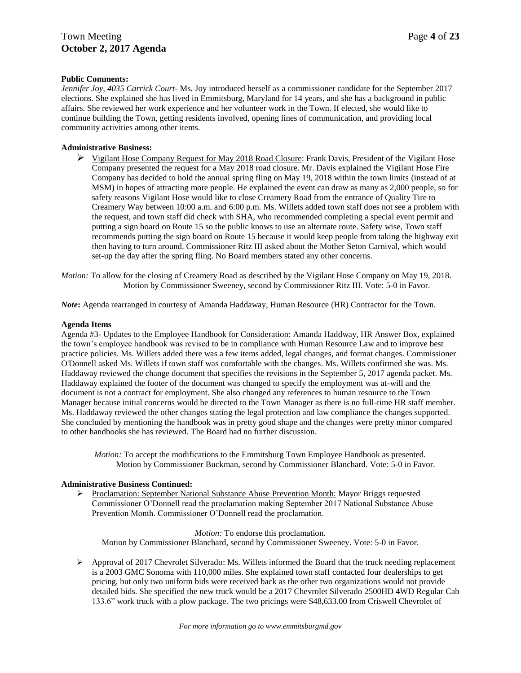## **Public Comments:**

*Jennifer Joy, 4035 Carrick Court-* Ms. Joy introduced herself as a commissioner candidate for the September 2017 elections. She explained she has lived in Emmitsburg, Maryland for 14 years, and she has a background in public affairs. She reviewed her work experience and her volunteer work in the Town. If elected, she would like to continue building the Town, getting residents involved, opening lines of communication, and providing local community activities among other items.

## **Administrative Business:**

 $\triangleright$  Vigilant Hose Company Request for May 2018 Road Closure: Frank Davis, President of the Vigilant Hose Company presented the request for a May 2018 road closure. Mr. Davis explained the Vigilant Hose Fire Company has decided to hold the annual spring fling on May 19, 2018 within the town limits (instead of at MSM) in hopes of attracting more people. He explained the event can draw as many as 2,000 people, so for safety reasons Vigilant Hose would like to close Creamery Road from the entrance of Quality Tire to Creamery Way between 10:00 a.m. and 6:00 p.m. Ms. Willets added town staff does not see a problem with the request, and town staff did check with SHA, who recommended completing a special event permit and putting a sign board on Route 15 so the public knows to use an alternate route. Safety wise, Town staff recommends putting the sign board on Route 15 because it would keep people from taking the highway exit then having to turn around. Commissioner Ritz III asked about the Mother Seton Carnival, which would set-up the day after the spring fling. No Board members stated any other concerns.

*Motion:* To allow for the closing of Creamery Road as described by the Vigilant Hose Company on May 19, 2018. Motion by Commissioner Sweeney, second by Commissioner Ritz III. Vote: 5-0 in Favor.

*Note***:** Agenda rearranged in courtesy of Amanda Haddaway, Human Resource (HR) Contractor for the Town.

#### **Agenda Items**

Agenda #3- Updates to the Employee Handbook for Consideration: Amanda Haddway, HR Answer Box, explained the town's employee handbook was revised to be in compliance with Human Resource Law and to improve best practice policies. Ms. Willets added there was a few items added, legal changes, and format changes. Commissioner O'Donnell asked Ms. Willets if town staff was comfortable with the changes. Ms. Willets confirmed she was. Ms. Haddaway reviewed the change document that specifies the revisions in the September 5, 2017 agenda packet. Ms. Haddaway explained the footer of the document was changed to specify the employment was at-will and the document is not a contract for employment. She also changed any references to human resource to the Town Manager because initial concerns would be directed to the Town Manager as there is no full-time HR staff member. Ms. Haddaway reviewed the other changes stating the legal protection and law compliance the changes supported. She concluded by mentioning the handbook was in pretty good shape and the changes were pretty minor compared to other handbooks she has reviewed. The Board had no further discussion.

*Motion:* To accept the modifications to the Emmitsburg Town Employee Handbook as presented. Motion by Commissioner Buckman, second by Commissioner Blanchard. Vote: 5-0 in Favor.

## **Administrative Business Continued:**

 Proclamation: September National Substance Abuse Prevention Month: Mayor Briggs requested Commissioner O'Donnell read the proclamation making September 2017 National Substance Abuse Prevention Month. Commissioner O'Donnell read the proclamation.

*Motion:* To endorse this proclamation.

Motion by Commissioner Blanchard, second by Commissioner Sweeney. Vote: 5-0 in Favor.

 $\triangleright$  Approval of 2017 Chevrolet Silverado: Ms. Willets informed the Board that the truck needing replacement is a 2003 GMC Sonoma with 110,000 miles. She explained town staff contacted four dealerships to get pricing, but only two uniform bids were received back as the other two organizations would not provide detailed bids. She specified the new truck would be a 2017 Chevrolet Silverado 2500HD 4WD Regular Cab 133.6" work truck with a plow package. The two pricings were \$48,633.00 from Criswell Chevrolet of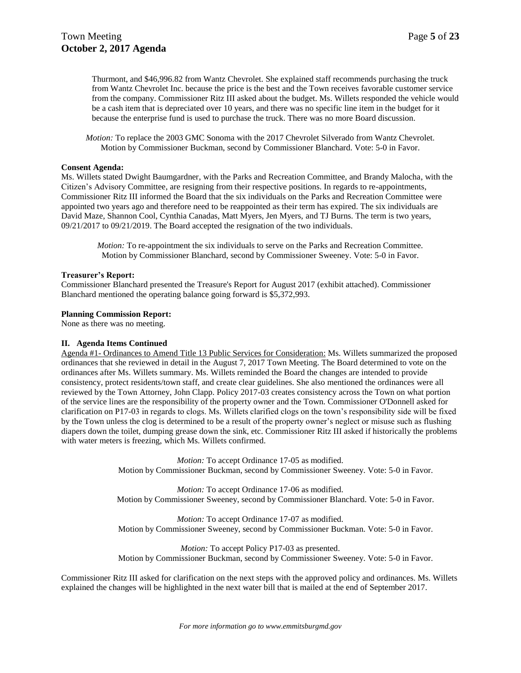Thurmont, and \$46,996.82 from Wantz Chevrolet. She explained staff recommends purchasing the truck from Wantz Chevrolet Inc. because the price is the best and the Town receives favorable customer service from the company. Commissioner Ritz III asked about the budget. Ms. Willets responded the vehicle would be a cash item that is depreciated over 10 years, and there was no specific line item in the budget for it because the enterprise fund is used to purchase the truck. There was no more Board discussion.

*Motion:* To replace the 2003 GMC Sonoma with the 2017 Chevrolet Silverado from Wantz Chevrolet. Motion by Commissioner Buckman, second by Commissioner Blanchard. Vote: 5-0 in Favor.

#### **Consent Agenda:**

Ms. Willets stated Dwight Baumgardner, with the Parks and Recreation Committee, and Brandy Malocha, with the Citizen's Advisory Committee, are resigning from their respective positions. In regards to re-appointments, Commissioner Ritz III informed the Board that the six individuals on the Parks and Recreation Committee were appointed two years ago and therefore need to be reappointed as their term has expired. The six individuals are David Maze, Shannon Cool, Cynthia Canadas, Matt Myers, Jen Myers, and TJ Burns. The term is two years, 09/21/2017 to 09/21/2019. The Board accepted the resignation of the two individuals.

*Motion:* To re-appointment the six individuals to serve on the Parks and Recreation Committee. Motion by Commissioner Blanchard, second by Commissioner Sweeney. Vote: 5-0 in Favor.

#### **Treasurer's Report:**

Commissioner Blanchard presented the Treasure's Report for August 2017 (exhibit attached). Commissioner Blanchard mentioned the operating balance going forward is \$5,372,993.

#### **Planning Commission Report:**

None as there was no meeting.

#### **II. Agenda Items Continued**

Agenda #1- Ordinances to Amend Title 13 Public Services for Consideration: Ms. Willets summarized the proposed ordinances that she reviewed in detail in the August 7, 2017 Town Meeting. The Board determined to vote on the ordinances after Ms. Willets summary. Ms. Willets reminded the Board the changes are intended to provide consistency, protect residents/town staff, and create clear guidelines. She also mentioned the ordinances were all reviewed by the Town Attorney, John Clapp. Policy 2017-03 creates consistency across the Town on what portion of the service lines are the responsibility of the property owner and the Town. Commissioner O'Donnell asked for clarification on P17-03 in regards to clogs. Ms. Willets clarified clogs on the town's responsibility side will be fixed by the Town unless the clog is determined to be a result of the property owner's neglect or misuse such as flushing diapers down the toilet, dumping grease down the sink, etc. Commissioner Ritz III asked if historically the problems with water meters is freezing, which Ms. Willets confirmed.

> *Motion:* To accept Ordinance 17-05 as modified. Motion by Commissioner Buckman, second by Commissioner Sweeney. Vote: 5-0 in Favor.

> *Motion:* To accept Ordinance 17-06 as modified. Motion by Commissioner Sweeney, second by Commissioner Blanchard. Vote: 5-0 in Favor.

> *Motion:* To accept Ordinance 17-07 as modified. Motion by Commissioner Sweeney, second by Commissioner Buckman. Vote: 5-0 in Favor.

> *Motion:* To accept Policy P17-03 as presented. Motion by Commissioner Buckman, second by Commissioner Sweeney. Vote: 5-0 in Favor.

Commissioner Ritz III asked for clarification on the next steps with the approved policy and ordinances. Ms. Willets explained the changes will be highlighted in the next water bill that is mailed at the end of September 2017.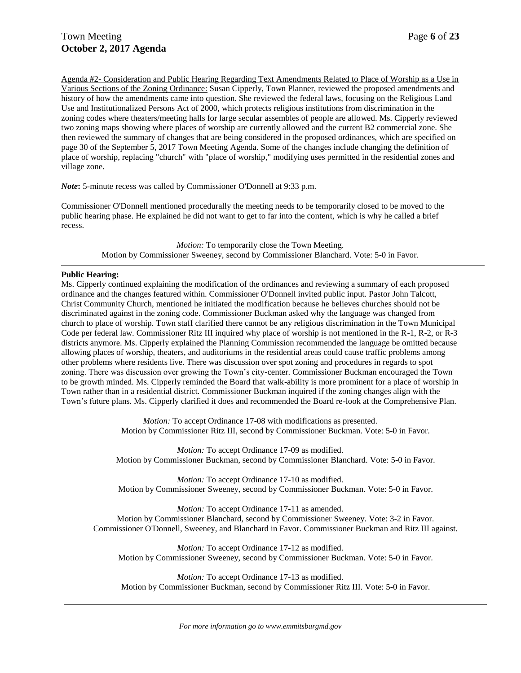Agenda #2- Consideration and Public Hearing Regarding Text Amendments Related to Place of Worship as a Use in Various Sections of the Zoning Ordinance: Susan Cipperly, Town Planner, reviewed the proposed amendments and history of how the amendments came into question. She reviewed the federal laws, focusing on the Religious Land Use and Institutionalized Persons Act of 2000, which protects religious institutions from discrimination in the zoning codes where theaters/meeting halls for large secular assembles of people are allowed. Ms. Cipperly reviewed two zoning maps showing where places of worship are currently allowed and the current B2 commercial zone. She then reviewed the summary of changes that are being considered in the proposed ordinances, which are specified on page 30 of the September 5, 2017 Town Meeting Agenda. Some of the changes include changing the definition of place of worship, replacing "church" with "place of worship," modifying uses permitted in the residential zones and village zone.

*Note***:** 5-minute recess was called by Commissioner O'Donnell at 9:33 p.m.

Commissioner O'Donnell mentioned procedurally the meeting needs to be temporarily closed to be moved to the public hearing phase. He explained he did not want to get to far into the content, which is why he called a brief recess.

> *Motion:* To temporarily close the Town Meeting. Motion by Commissioner Sweeney, second by Commissioner Blanchard. Vote: 5-0 in Favor.

#### **Public Hearing:**

Ms. Cipperly continued explaining the modification of the ordinances and reviewing a summary of each proposed ordinance and the changes featured within. Commissioner O'Donnell invited public input. Pastor John Talcott, Christ Community Church, mentioned he initiated the modification because he believes churches should not be discriminated against in the zoning code. Commissioner Buckman asked why the language was changed from church to place of worship. Town staff clarified there cannot be any religious discrimination in the Town Municipal Code per federal law. Commissioner Ritz III inquired why place of worship is not mentioned in the R-1, R-2, or R-3 districts anymore. Ms. Cipperly explained the Planning Commission recommended the language be omitted because allowing places of worship, theaters, and auditoriums in the residential areas could cause traffic problems among other problems where residents live. There was discussion over spot zoning and procedures in regards to spot zoning. There was discussion over growing the Town's city-center. Commissioner Buckman encouraged the Town to be growth minded. Ms. Cipperly reminded the Board that walk-ability is more prominent for a place of worship in Town rather than in a residential district. Commissioner Buckman inquired if the zoning changes align with the Town's future plans. Ms. Cipperly clarified it does and recommended the Board re-look at the Comprehensive Plan.

> *Motion:* To accept Ordinance 17-08 with modifications as presented. Motion by Commissioner Ritz III, second by Commissioner Buckman. Vote: 5-0 in Favor.

*Motion:* To accept Ordinance 17-09 as modified. Motion by Commissioner Buckman, second by Commissioner Blanchard. Vote: 5-0 in Favor.

*Motion:* To accept Ordinance 17-10 as modified. Motion by Commissioner Sweeney, second by Commissioner Buckman. Vote: 5-0 in Favor.

*Motion:* To accept Ordinance 17-11 as amended. Motion by Commissioner Blanchard, second by Commissioner Sweeney. Vote: 3-2 in Favor. Commissioner O'Donnell, Sweeney, and Blanchard in Favor. Commissioner Buckman and Ritz III against.

*Motion:* To accept Ordinance 17-12 as modified. Motion by Commissioner Sweeney, second by Commissioner Buckman. Vote: 5-0 in Favor.

*Motion:* To accept Ordinance 17-13 as modified. Motion by Commissioner Buckman, second by Commissioner Ritz III. Vote: 5-0 in Favor.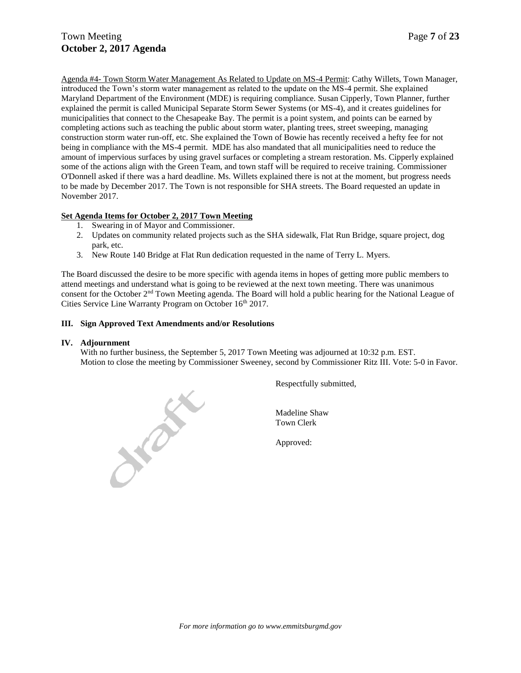Agenda #4- Town Storm Water Management As Related to Update on MS-4 Permit: Cathy Willets, Town Manager, introduced the Town's storm water management as related to the update on the MS-4 permit. She explained Maryland Department of the Environment (MDE) is requiring compliance. Susan Cipperly, Town Planner, further explained the permit is called Municipal Separate Storm Sewer Systems (or MS-4), and it creates guidelines for municipalities that connect to the Chesapeake Bay. The permit is a point system, and points can be earned by completing actions such as teaching the public about storm water, planting trees, street sweeping, managing construction storm water run-off, etc. She explained the Town of Bowie has recently received a hefty fee for not being in compliance with the MS-4 permit. MDE has also mandated that all municipalities need to reduce the amount of impervious surfaces by using gravel surfaces or completing a stream restoration. Ms. Cipperly explained some of the actions align with the Green Team, and town staff will be required to receive training. Commissioner O'Donnell asked if there was a hard deadline. Ms. Willets explained there is not at the moment, but progress needs to be made by December 2017. The Town is not responsible for SHA streets. The Board requested an update in November 2017.

## **Set Agenda Items for October 2, 2017 Town Meeting**

- 1. Swearing in of Mayor and Commissioner.
- 2. Updates on community related projects such as the SHA sidewalk, Flat Run Bridge, square project, dog park, etc.
- 3. New Route 140 Bridge at Flat Run dedication requested in the name of Terry L. Myers.

The Board discussed the desire to be more specific with agenda items in hopes of getting more public members to attend meetings and understand what is going to be reviewed at the next town meeting. There was unanimous consent for the October 2nd Town Meeting agenda. The Board will hold a public hearing for the National League of Cities Service Line Warranty Program on October 16<sup>th</sup> 2017.

#### **III. Sign Approved Text Amendments and/or Resolutions**

#### **IV. Adjournment**

With no further business, the September 5, 2017 Town Meeting was adjourned at 10:32 p.m. EST. Motion to close the meeting by Commissioner Sweeney, second by Commissioner Ritz III. Vote: 5-0 in Favor.



Respectfully submitted,

Madeline Shaw Town Clerk

Approved: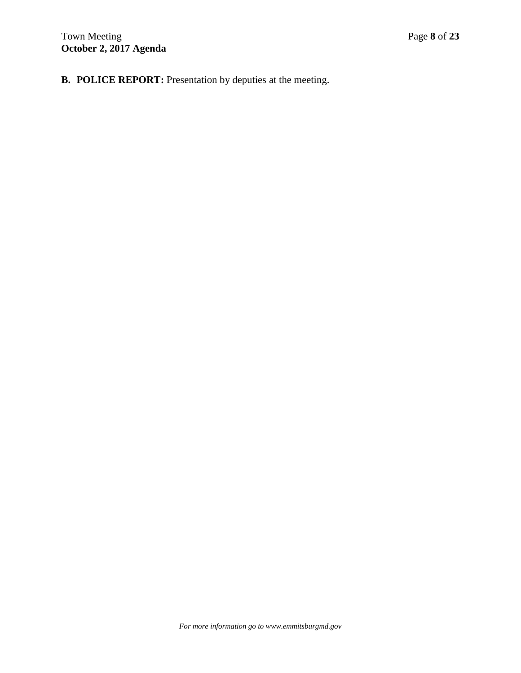**B. POLICE REPORT:** Presentation by deputies at the meeting.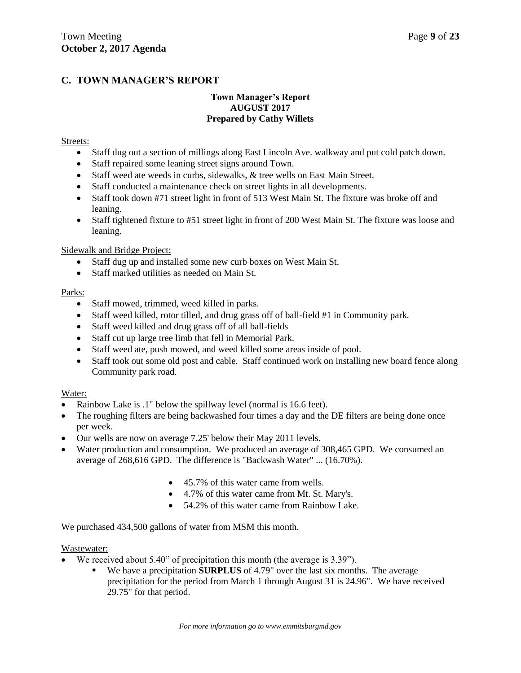# **C. TOWN MANAGER'S REPORT**

## **Town Manager's Report AUGUST 2017 Prepared by Cathy Willets**

## Streets:

- Staff dug out a section of millings along East Lincoln Ave. walkway and put cold patch down.
- Staff repaired some leaning street signs around Town.
- Staff weed ate weeds in curbs, sidewalks, & tree wells on East Main Street.
- Staff conducted a maintenance check on street lights in all developments.
- Staff took down #71 street light in front of 513 West Main St. The fixture was broke off and leaning.
- Staff tightened fixture to #51 street light in front of 200 West Main St. The fixture was loose and leaning.

## Sidewalk and Bridge Project:

- Staff dug up and installed some new curb boxes on West Main St.
- Staff marked utilities as needed on Main St.

## Parks:

- Staff mowed, trimmed, weed killed in parks.
- Staff weed killed, rotor tilled, and drug grass off of ball-field #1 in Community park.
- Staff weed killed and drug grass off of all ball-fields
- Staff cut up large tree limb that fell in Memorial Park.
- Staff weed ate, push mowed, and weed killed some areas inside of pool.
- Staff took out some old post and cable. Staff continued work on installing new board fence along Community park road.

## Water:

- Rainbow Lake is .1" below the spillway level (normal is 16.6 feet).
- The roughing filters are being backwashed four times a day and the DE filters are being done once per week.
- Our wells are now on average 7.25' below their May 2011 levels.
- Water production and consumption. We produced an average of 308,465 GPD. We consumed an average of 268,616 GPD. The difference is "Backwash Water" ... (16.70%).
	- 45.7% of this water came from wells.
	- 4.7% of this water came from Mt. St. Mary's.
	- 54.2% of this water came from Rainbow Lake.

We purchased  $434,500$  gallons of water from MSM this month.

## Wastewater:

- We received about 5.40" of precipitation this month (the average is 3.39").
	- We have a precipitation **SURPLUS** of 4.79" over the last six months. The average precipitation for the period from March 1 through August 31 is 24.96". We have received 29.75" for that period.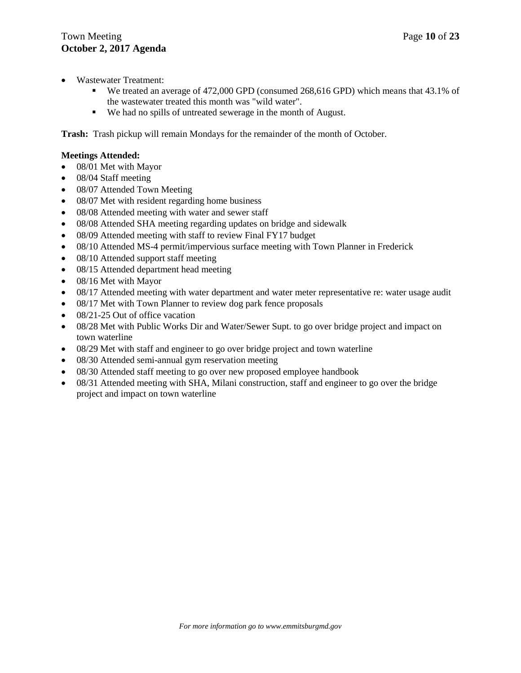- Wastewater Treatment:
	- We treated an average of 472,000 GPD (consumed 268,616 GPD) which means that 43.1% of the wastewater treated this month was "wild water".
	- We had no spills of untreated sewerage in the month of August.

**Trash:** Trash pickup will remain Mondays for the remainder of the month of October.

## **Meetings Attended:**

- 08/01 Met with Mayor
- 08/04 Staff meeting
- 08/07 Attended Town Meeting
- 08/07 Met with resident regarding home business
- 08/08 Attended meeting with water and sewer staff
- 08/08 Attended SHA meeting regarding updates on bridge and sidewalk
- 08/09 Attended meeting with staff to review Final FY17 budget
- 08/10 Attended MS-4 permit/impervious surface meeting with Town Planner in Frederick
- 08/10 Attended support staff meeting
- 08/15 Attended department head meeting
- 08/16 Met with Mayor
- 08/17 Attended meeting with water department and water meter representative re: water usage audit
- 08/17 Met with Town Planner to review dog park fence proposals
- 08/21-25 Out of office vacation
- 08/28 Met with Public Works Dir and Water/Sewer Supt. to go over bridge project and impact on town waterline
- 08/29 Met with staff and engineer to go over bridge project and town waterline
- 08/30 Attended semi-annual gym reservation meeting
- 08/30 Attended staff meeting to go over new proposed employee handbook
- 08/31 Attended meeting with SHA, Milani construction, staff and engineer to go over the bridge project and impact on town waterline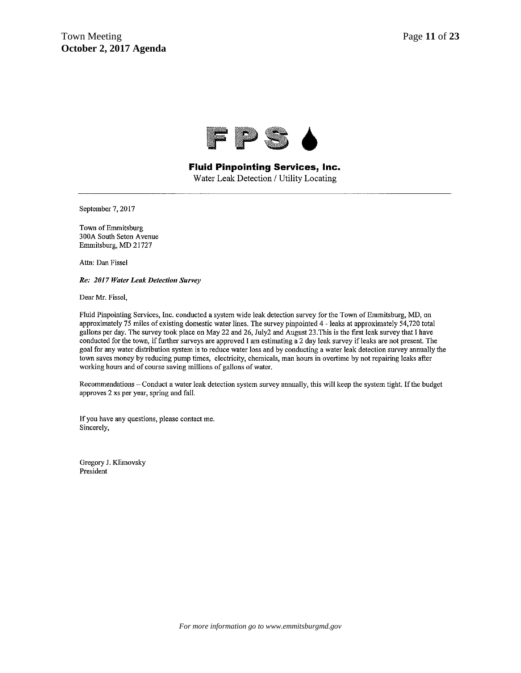

# **Fluid Pinpointing Services, Inc.**

Water Leak Detection / Utility Locating

September 7, 2017

Town of Emmitsburg 300A South Seton Avenue Emmitsburg, MD 21727

Attn: Dan Fissel

Re: 2017 Water Leak Detection Survey

Dear Mr. Fissel,

Fluid Pinpointing Services, Inc. conducted a system wide leak detection survey for the Town of Emmitsburg, MD, on approximately 75 miles of existing domestic water lines. The survey pinpointed 4 - leaks at approximately 54,720 total gallons per day. The survey took place on May 22 and 26, July2 and August 23. This is the first leak survey that I have conducted for the town, if further surveys are approved I am estimating a 2 day leak survey if leaks are not present. The goal for any water distribution system is to reduce water loss and by conducting a water leak detection survey annually the town saves money by reducing pump times, electricity, chemicals, man hours in overtime by not repairing leaks after working hours and of course saving millions of gallons of water.

Recommendations - Conduct a water leak detection system survey annually, this will keep the system tight. If the budget approves 2 xs per year, spring and fall.

If you have any questions, please contact me. Sincerely,

Gregory J. Klimovsky President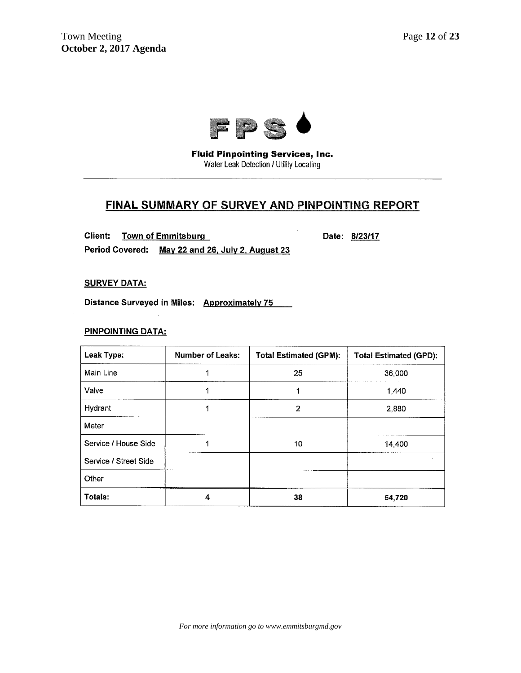

**Fluid Pinpointing Services, Inc.** Water Leak Detection / Utility Locating

# FINAL SUMMARY OF SURVEY AND PINPOINTING REPORT

Client: **Town of Emmitsburg** 

Date: 8/23/17

Period Covered: May 22 and 26, July 2, August 23

**SURVEY DATA:** 

Distance Surveyed in Miles: Approximately 75

## **PINPOINTING DATA:**

| Leak Type:            | <b>Number of Leaks:</b> | <b>Total Estimated (GPM):</b> | <b>Total Estimated (GPD):</b> |
|-----------------------|-------------------------|-------------------------------|-------------------------------|
| Main Line             |                         | 25                            | 36,000                        |
| Valve                 | 1                       | 1                             | 1,440                         |
| Hydrant               |                         | 2                             | 2,880                         |
| Meter                 |                         |                               |                               |
| Service / House Side  |                         | 10                            | 14,400                        |
| Service / Street Side |                         |                               |                               |
| Other                 |                         |                               |                               |
| Totals:               | 4                       | 38                            | 54,720                        |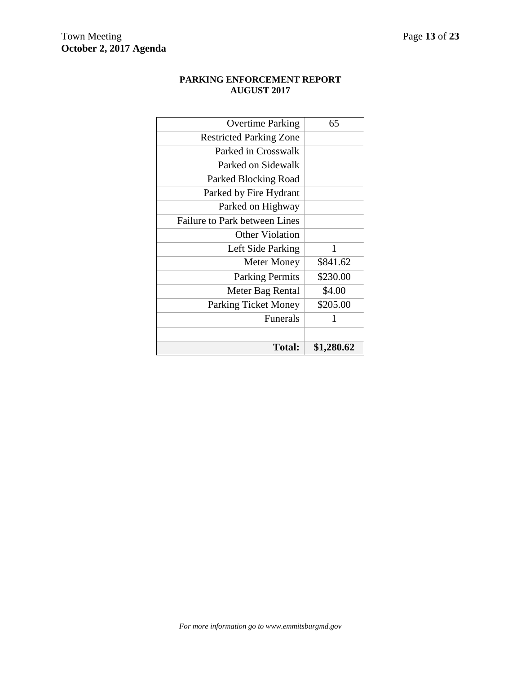# **PARKING ENFORCEMENT REPORT AUGUST 2017**

| <b>Total:</b>                        | \$1,280.62 |
|--------------------------------------|------------|
|                                      |            |
| Funerals                             | 1          |
| <b>Parking Ticket Money</b>          | \$205.00   |
| Meter Bag Rental                     | \$4.00     |
| <b>Parking Permits</b>               | \$230.00   |
| <b>Meter Money</b>                   | \$841.62   |
| Left Side Parking                    | 1          |
| <b>Other Violation</b>               |            |
| <b>Failure to Park between Lines</b> |            |
| Parked on Highway                    |            |
| Parked by Fire Hydrant               |            |
| Parked Blocking Road                 |            |
| Parked on Sidewalk                   |            |
| Parked in Crosswalk                  |            |
| <b>Restricted Parking Zone</b>       |            |
| <b>Overtime Parking</b>              | 65         |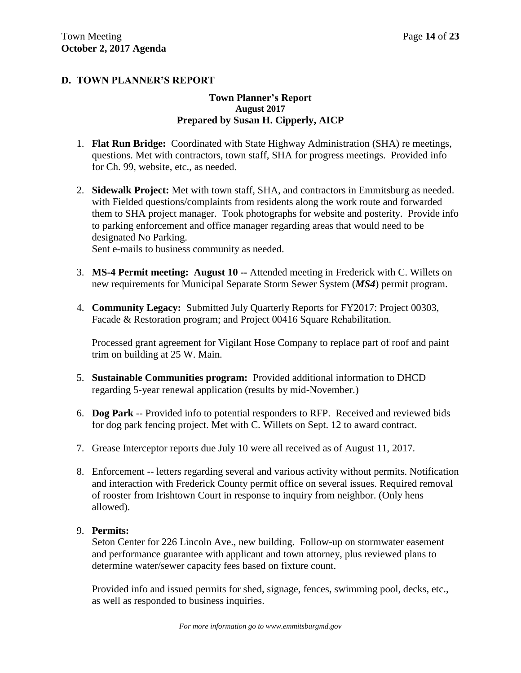# **D. TOWN PLANNER'S REPORT**

## **Town Planner's Report August 2017 Prepared by Susan H. Cipperly, AICP**

- 1. **Flat Run Bridge:** Coordinated with State Highway Administration (SHA) re meetings, questions. Met with contractors, town staff, SHA for progress meetings. Provided info for Ch. 99, website, etc., as needed.
- 2. **Sidewalk Project:** Met with town staff, SHA, and contractors in Emmitsburg as needed. with Fielded questions/complaints from residents along the work route and forwarded them to SHA project manager. Took photographs for website and posterity. Provide info to parking enforcement and office manager regarding areas that would need to be designated No Parking.

Sent e-mails to business community as needed.

- 3. **MS-4 Permit meeting: August 10 --** Attended meeting in Frederick with C. Willets on new requirements for Municipal Separate Storm Sewer System (*MS4*) permit program.
- 4. **Community Legacy:** Submitted July Quarterly Reports for FY2017: Project 00303, Facade & Restoration program; and Project 00416 Square Rehabilitation.

Processed grant agreement for Vigilant Hose Company to replace part of roof and paint trim on building at 25 W. Main.

- 5. **Sustainable Communities program:** Provided additional information to DHCD regarding 5-year renewal application (results by mid-November.)
- 6. **Dog Park** -- Provided info to potential responders to RFP. Received and reviewed bids for dog park fencing project. Met with C. Willets on Sept. 12 to award contract.
- 7. Grease Interceptor reports due July 10 were all received as of August 11, 2017.
- 8. Enforcement -- letters regarding several and various activity without permits. Notification and interaction with Frederick County permit office on several issues. Required removal of rooster from Irishtown Court in response to inquiry from neighbor. (Only hens allowed).

## 9. **Permits:**

Seton Center for 226 Lincoln Ave., new building. Follow-up on stormwater easement and performance guarantee with applicant and town attorney, plus reviewed plans to determine water/sewer capacity fees based on fixture count.

Provided info and issued permits for shed, signage, fences, swimming pool, decks, etc., as well as responded to business inquiries.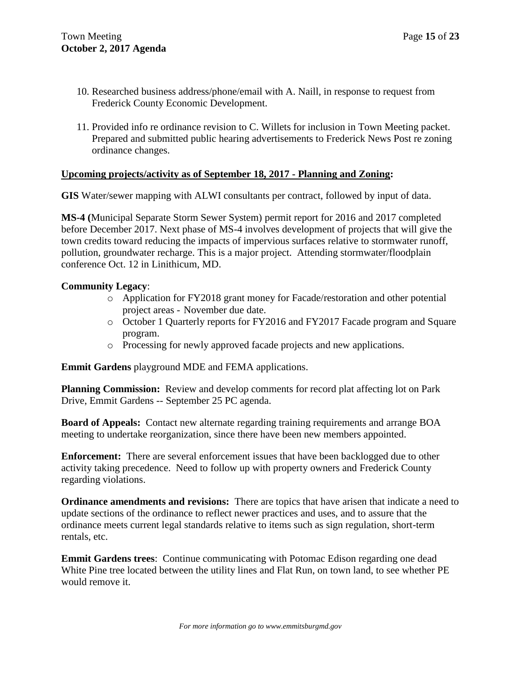- 10. Researched business address/phone/email with A. Naill, in response to request from Frederick County Economic Development.
- 11. Provided info re ordinance revision to C. Willets for inclusion in Town Meeting packet. Prepared and submitted public hearing advertisements to Frederick News Post re zoning ordinance changes.

# **Upcoming projects/activity as of September 18, 2017 - Planning and Zoning:**

**GIS** Water/sewer mapping with ALWI consultants per contract, followed by input of data.

**MS-4 (**Municipal Separate Storm Sewer System) permit report for 2016 and 2017 completed before December 2017. Next phase of MS-4 involves development of projects that will give the town credits toward reducing the impacts of impervious surfaces relative to stormwater runoff, pollution, groundwater recharge. This is a major project. Attending stormwater/floodplain conference Oct. 12 in Linithicum, MD.

# **Community Legacy**:

- o Application for FY2018 grant money for Facade/restoration and other potential project areas - November due date.
- o October 1 Quarterly reports for FY2016 and FY2017 Facade program and Square program.
- o Processing for newly approved facade projects and new applications.

**Emmit Gardens** playground MDE and FEMA applications.

**Planning Commission:** Review and develop comments for record plat affecting lot on Park Drive, Emmit Gardens -- September 25 PC agenda.

**Board of Appeals:** Contact new alternate regarding training requirements and arrange BOA meeting to undertake reorganization, since there have been new members appointed.

**Enforcement:** There are several enforcement issues that have been backlogged due to other activity taking precedence. Need to follow up with property owners and Frederick County regarding violations.

**Ordinance amendments and revisions:** There are topics that have arisen that indicate a need to update sections of the ordinance to reflect newer practices and uses, and to assure that the ordinance meets current legal standards relative to items such as sign regulation, short-term rentals, etc.

**Emmit Gardens trees**: Continue communicating with Potomac Edison regarding one dead White Pine tree located between the utility lines and Flat Run, on town land, to see whether PE would remove it.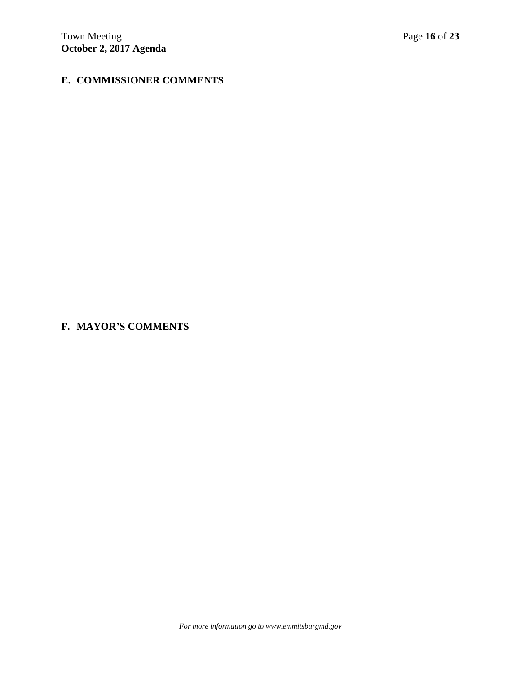# **E. COMMISSIONER COMMENTS**

# **F. MAYOR'S COMMENTS**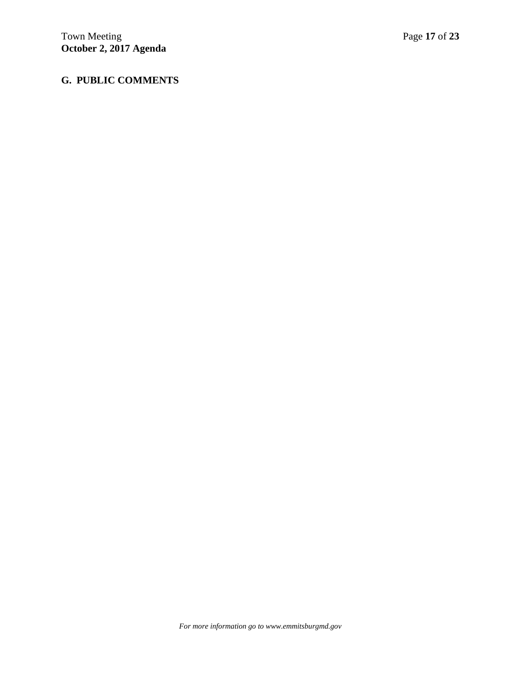# **G. PUBLIC COMMENTS**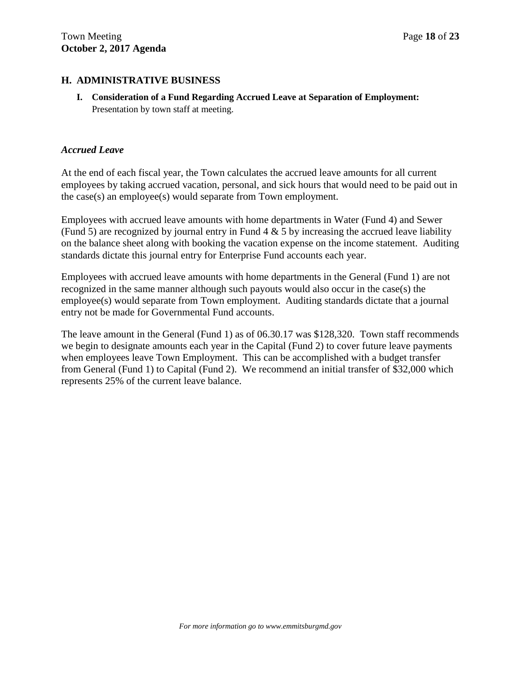# **H. ADMINISTRATIVE BUSINESS**

**I. Consideration of a Fund Regarding Accrued Leave at Separation of Employment:** Presentation by town staff at meeting.

# *Accrued Leave*

At the end of each fiscal year, the Town calculates the accrued leave amounts for all current employees by taking accrued vacation, personal, and sick hours that would need to be paid out in the case(s) an employee(s) would separate from Town employment.

Employees with accrued leave amounts with home departments in Water (Fund 4) and Sewer (Fund 5) are recognized by journal entry in Fund  $4 \& 5$  by increasing the accrued leave liability on the balance sheet along with booking the vacation expense on the income statement. Auditing standards dictate this journal entry for Enterprise Fund accounts each year.

Employees with accrued leave amounts with home departments in the General (Fund 1) are not recognized in the same manner although such payouts would also occur in the case(s) the employee(s) would separate from Town employment. Auditing standards dictate that a journal entry not be made for Governmental Fund accounts.

The leave amount in the General (Fund 1) as of 06.30.17 was \$128,320. Town staff recommends we begin to designate amounts each year in the Capital (Fund 2) to cover future leave payments when employees leave Town Employment. This can be accomplished with a budget transfer from General (Fund 1) to Capital (Fund 2). We recommend an initial transfer of \$32,000 which represents 25% of the current leave balance.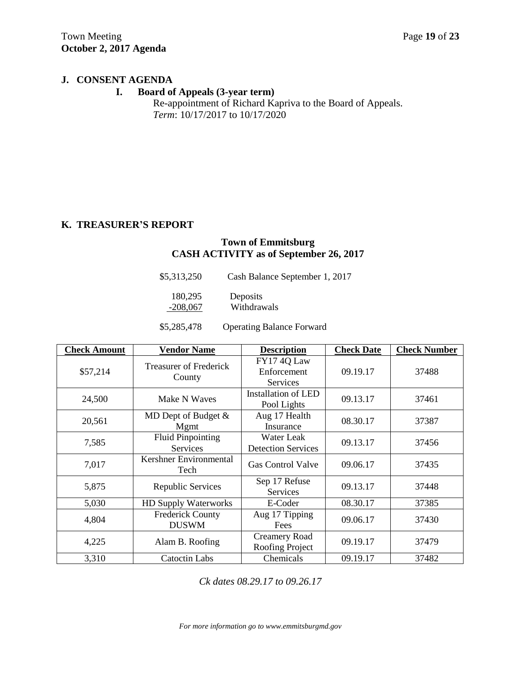## **J. CONSENT AGENDA**

# **I. Board of Appeals (3-year term)**

Re-appointment of Richard Kapriva to the Board of Appeals. *Term*: 10/17/2017 to 10/17/2020

# **K. TREASURER'S REPORT**

# **Town of Emmitsburg CASH ACTIVITY as of September 26, 2017**

| \$5,313,250 | Cash Balance September 1, 2017 |  |
|-------------|--------------------------------|--|
| 180.295     | Deposits                       |  |
| $-208,067$  | Withdrawals                    |  |

\$5,285,478 Operating Balance Forward

| <b>Check Amount</b> | <b>Vendor Name</b>                      | <b>Description</b>                        | <b>Check Date</b> | <b>Check Number</b> |
|---------------------|-----------------------------------------|-------------------------------------------|-------------------|---------------------|
| \$57,214            | <b>Treasurer of Frederick</b><br>County | FY174Q Law<br>Enforcement<br>Services     | 09.19.17          | 37488               |
| 24,500              | Make N Waves                            | <b>Installation of LED</b><br>Pool Lights | 09.13.17          | 37461               |
| 20,561              | MD Dept of Budget &<br>Mgmt             | Aug 17 Health<br>Insurance                | 08.30.17          | 37387               |
| 7,585               | <b>Fluid Pinpointing</b><br>Services    | Water Leak<br><b>Detection Services</b>   | 09.13.17          | 37456               |
| 7,017               | Kershner Environmental<br>Tech          | <b>Gas Control Valve</b>                  | 09.06.17          | 37435               |
| 5,875               | Republic Services                       | Sep 17 Refuse<br>Services                 | 09.13.17          | 37448               |
| 5,030               | HD Supply Waterworks                    | E-Coder                                   | 08.30.17          | 37385               |
| 4,804               | <b>Frederick County</b><br><b>DUSWM</b> | Aug 17 Tipping<br>Fees                    | 09.06.17          | 37430               |
| 4,225               | Alam B. Roofing                         | <b>Creamery Road</b><br>Roofing Project   | 09.19.17          | 37479               |
| 3,310               | Catoctin Labs                           | Chemicals                                 | 09.19.17          | 37482               |

*Ck dates 08.29.17 to 09.26.17*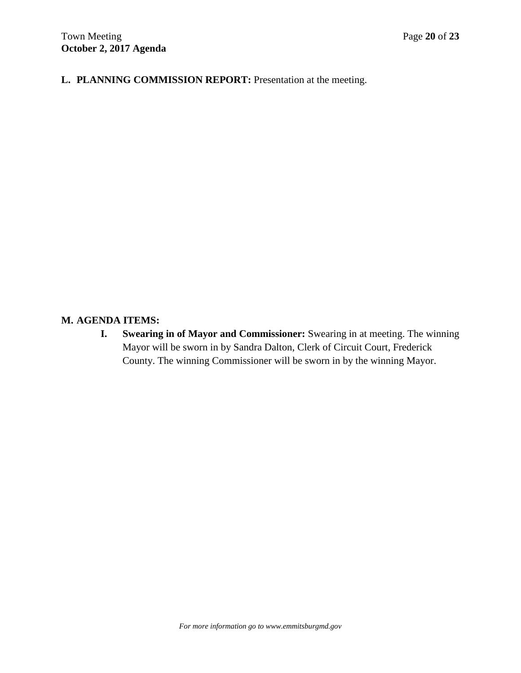**L. PLANNING COMMISSION REPORT:** Presentation at the meeting.

# **M. AGENDA ITEMS:**

**I. Swearing in of Mayor and Commissioner:** Swearing in at meeting. The winning Mayor will be sworn in by Sandra Dalton, Clerk of Circuit Court, Frederick County. The winning Commissioner will be sworn in by the winning Mayor.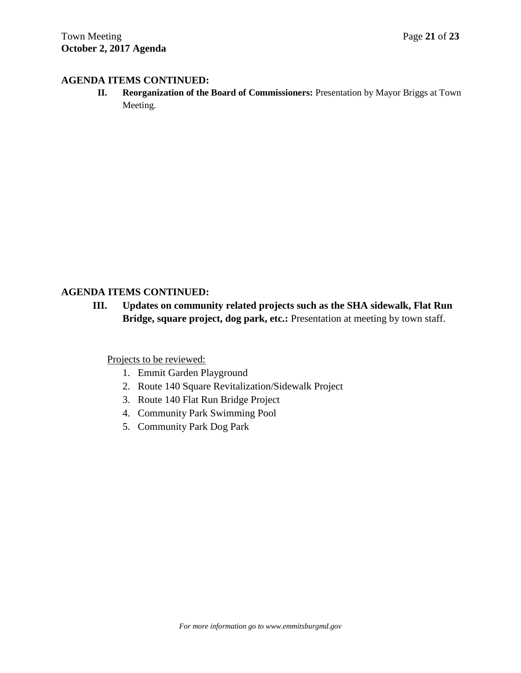# **AGENDA ITEMS CONTINUED:**

**II. Reorganization of the Board of Commissioners:** Presentation by Mayor Briggs at Town Meeting.

# **AGENDA ITEMS CONTINUED:**

**III. Updates on community related projects such as the SHA sidewalk, Flat Run Bridge, square project, dog park, etc.:** Presentation at meeting by town staff.

Projects to be reviewed:

- 1. Emmit Garden Playground
- 2. Route 140 Square Revitalization/Sidewalk Project
- 3. Route 140 Flat Run Bridge Project
- 4. Community Park Swimming Pool
- 5. Community Park Dog Park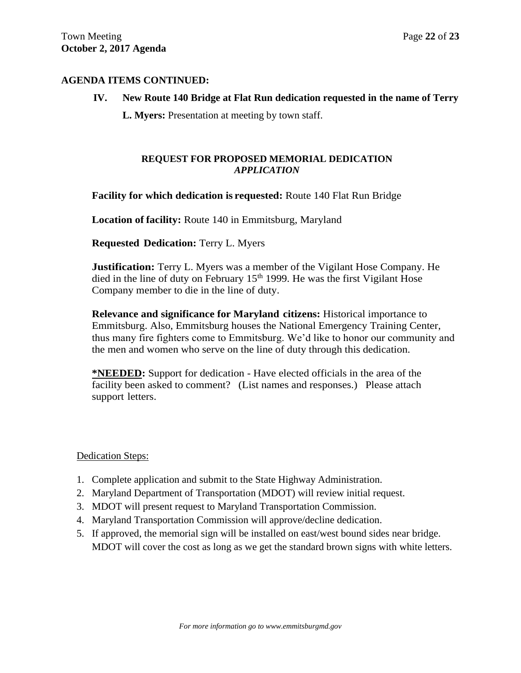# **AGENDA ITEMS CONTINUED:**

# **IV. New Route 140 Bridge at Flat Run dedication requested in the name of Terry**

**L. Myers:** Presentation at meeting by town staff.

## **REQUEST FOR PROPOSED MEMORIAL DEDICATION** *APPLICATION*

# **Facility for which dedication is requested:** Route 140 Flat Run Bridge

**Location of facility:** Route 140 in Emmitsburg, Maryland

**Requested Dedication:** Terry L. Myers

**Justification:** Terry L. Myers was a member of the Vigilant Hose Company. He died in the line of duty on February  $15<sup>th</sup>$  1999. He was the first Vigilant Hose Company member to die in the line of duty.

**Relevance and significance for Maryland citizens:** Historical importance to Emmitsburg. Also, Emmitsburg houses the National Emergency Training Center, thus many fire fighters come to Emmitsburg. We'd like to honor our community and the men and women who serve on the line of duty through this dedication.

**\*NEEDED:** Support for dedication - Have elected officials in the area of the facility been asked to comment? (List names and responses.) Please attach support letters.

## Dedication Steps:

- 1. Complete application and submit to the State Highway Administration.
- 2. Maryland Department of Transportation (MDOT) will review initial request.
- 3. MDOT will present request to Maryland Transportation Commission.
- 4. Maryland Transportation Commission will approve/decline dedication.
- 5. If approved, the memorial sign will be installed on east/west bound sides near bridge. MDOT will cover the cost as long as we get the standard brown signs with white letters.